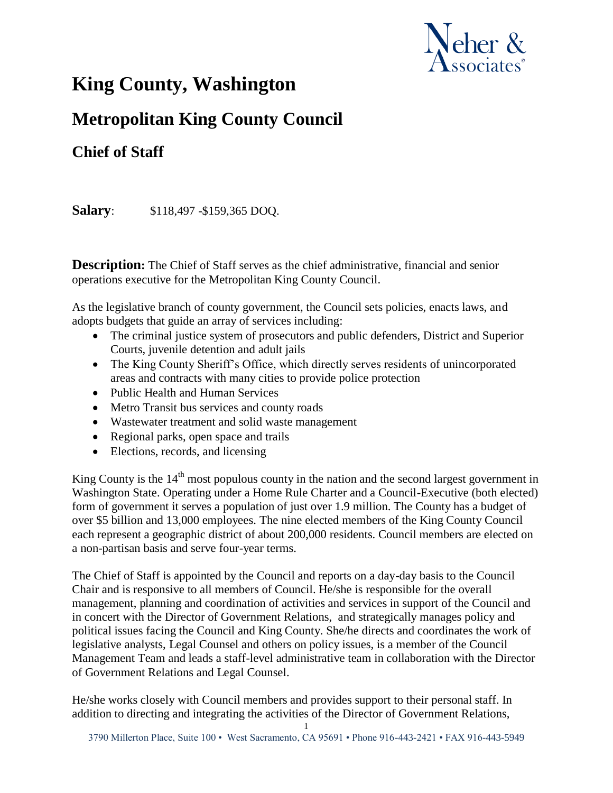

## **King County, Washington**

## **Metropolitan King County Council**

## **Chief of Staff**

**Salary**: \$118,497 -\$159,365 DOQ.

**Description:** The Chief of Staff serves as the chief administrative, financial and senior operations executive for the Metropolitan King County Council.

As the legislative branch of county government, the Council sets policies, enacts laws, and adopts budgets that guide an array of services including:

- The criminal justice system of prosecutors and public defenders, District and Superior Courts, juvenile detention and adult jails
- The King County Sheriff's Office, which directly serves residents of unincorporated areas and contracts with many cities to provide police protection
- Public Health and Human Services
- Metro Transit bus services and county roads
- Wastewater treatment and solid waste management
- Regional parks, open space and trails
- Elections, records, and licensing

King County is the  $14<sup>th</sup>$  most populous county in the nation and the second largest government in Washington State. Operating under a Home Rule Charter and a Council-Executive (both elected) form of government it serves a population of just over 1.9 million. The County has a budget of over \$5 billion and 13,000 employees. The nine elected members of the King County Council each represent a geographic district of about 200,000 residents. Council members are elected on a non-partisan basis and serve four-year terms.

The Chief of Staff is appointed by the Council and reports on a day-day basis to the Council Chair and is responsive to all members of Council. He/she is responsible for the overall management, planning and coordination of activities and services in support of the Council and in concert with the Director of Government Relations, and strategically manages policy and political issues facing the Council and King County. She/he directs and coordinates the work of legislative analysts, Legal Counsel and others on policy issues, is a member of the Council Management Team and leads a staff-level administrative team in collaboration with the Director of Government Relations and Legal Counsel.

He/she works closely with Council members and provides support to their personal staff. In addition to directing and integrating the activities of the Director of Government Relations,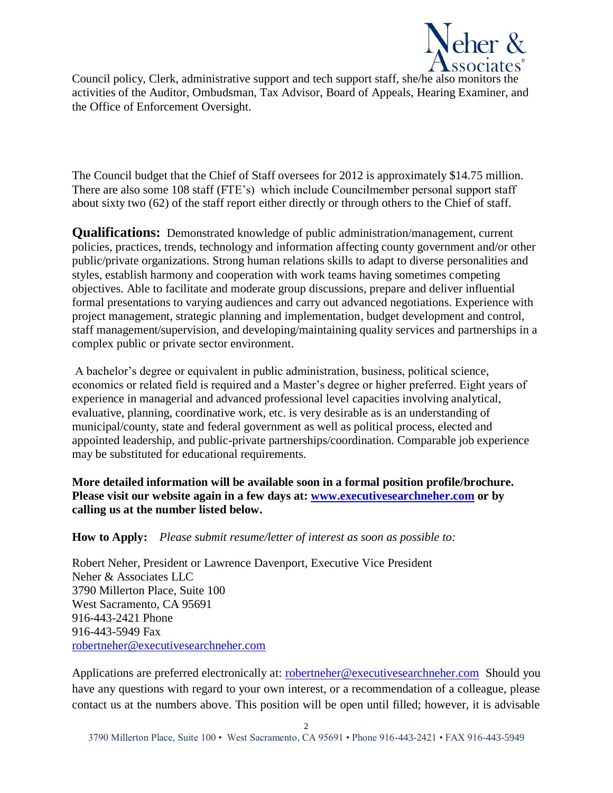

Council policy, Clerk, administrative support and tech support staff, she/he also monitors the activities of the Auditor, Ombudsman, Tax Advisor, Board of Appeals, Hearing Examiner, and the Office of Enforcement Oversight.

The Council budget that the Chief of Staff oversees for 2012 is approximately \$14.75 million. There are also some 108 staff (FTE's) which include Councilmember personal support staff about sixty two (62) of the staff report either directly or through others to the Chief of staff.

**Qualifications:** Demonstrated knowledge of public administration/management, current policies, practices, trends, technology and information affecting county government and/or other public/private organizations. Strong human relations skills to adapt to diverse personalities and styles, establish harmony and cooperation with work teams having sometimes competing objectives. Able to facilitate and moderate group discussions, prepare and deliver influential formal presentations to varying audiences and carry out advanced negotiations. Experience with project management, strategic planning and implementation, budget development and control, staff management/supervision, and developing/maintaining quality services and partnerships in a complex public or private sector environment.

A bachelor's degree or equivalent in public administration, business, political science, economics or related field is required and a Master's degree or higher preferred. Eight years of experience in managerial and advanced professional level capacities involving analytical, evaluative, planning, coordinative work, etc. is very desirable as is an understanding of municipal/county, state and federal government as well as political process, elected and appointed leadership, and public-private partnerships/coordination. Comparable job experience may be substituted for educational requirements.

**More detailed information will be available soon in a formal position profile/brochure. Please visit our website again in a few days at: [www.executivesearchneher.com](http://www.executivesearchneher.com/) or by calling us at the number listed below.**

## **How to Apply:** *Please submit resume/letter of interest as soon as possible to:*

Robert Neher, President or Lawrence Davenport, Executive Vice President Neher & Associates LLC 3790 Millerton Place, Suite 100 West Sacramento, CA 95691 916-443-2421 Phone 916-443-5949 Fax [robertneher@executivesearchneher.com](mailto:robertneher@executivesearchneher.com)

Applications are preferred electronically at: [robertneher@executivesearchneher.com](mailto:robertneher@executivesearchneher.com) Should you have any questions with regard to your own interest, or a recommendation of a colleague, please contact us at the numbers above. This position will be open until filled; however, it is advisable